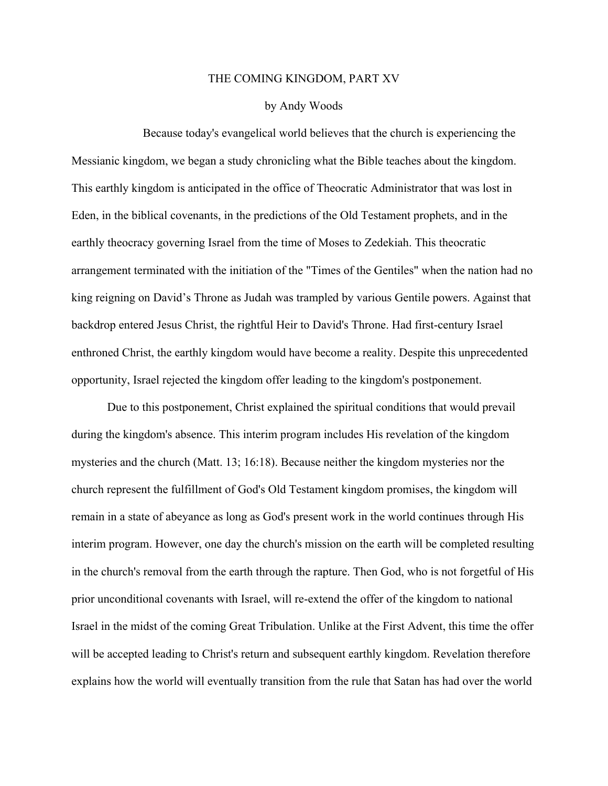## THE COMING KINGDOM, PART XV

## by Andy Woods

Because today's evangelical world believes that the church is experiencing the Messianic kingdom, we began a study chronicling what the Bible teaches about the kingdom. This earthly kingdom is anticipated in the office of Theocratic Administrator that was lost in Eden, in the biblical covenants, in the predictions of the Old Testament prophets, and in the earthly theocracy governing Israel from the time of Moses to Zedekiah. This theocratic arrangement terminated with the initiation of the "Times of the Gentiles" when the nation had no king reigning on David's Throne as Judah was trampled by various Gentile powers. Against that backdrop entered Jesus Christ, the rightful Heir to David's Throne. Had first-century Israel enthroned Christ, the earthly kingdom would have become a reality. Despite this unprecedented opportunity, Israel rejected the kingdom offer leading to the kingdom's postponement.

Due to this postponement, Christ explained the spiritual conditions that would prevail during the kingdom's absence. This interim program includes His revelation of the kingdom mysteries and the church (Matt. 13; 16:18). Because neither the kingdom mysteries nor the church represent the fulfillment of God's Old Testament kingdom promises, the kingdom will remain in a state of abeyance as long as God's present work in the world continues through His interim program. However, one day the church's mission on the earth will be completed resulting in the church's removal from the earth through the rapture. Then God, who is not forgetful of His prior unconditional covenants with Israel, will re-extend the offer of the kingdom to national Israel in the midst of the coming Great Tribulation. Unlike at the First Advent, this time the offer will be accepted leading to Christ's return and subsequent earthly kingdom. Revelation therefore explains how the world will eventually transition from the rule that Satan has had over the world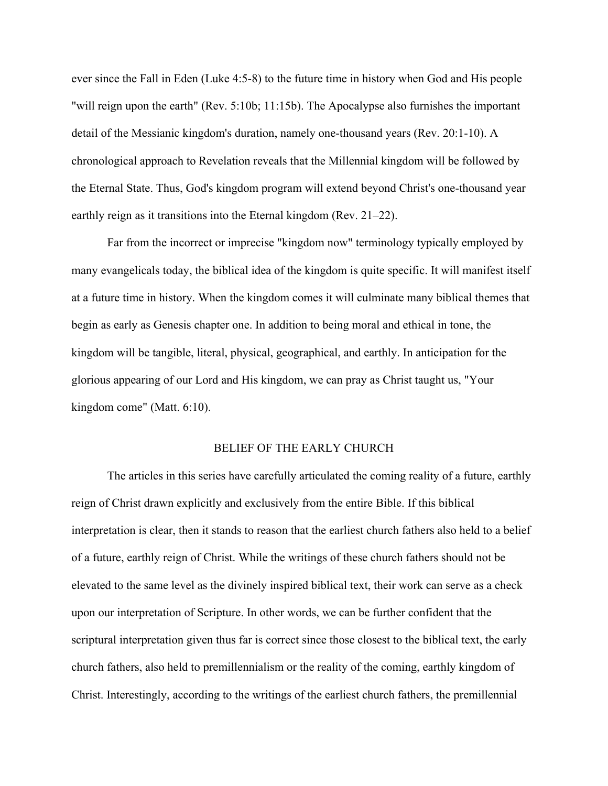ever since the Fall in Eden (Luke 4:5-8) to the future time in history when God and His people "will reign upon the earth" (Rev. 5:10b; 11:15b). The Apocalypse also furnishes the important detail of the Messianic kingdom's duration, namely one-thousand years (Rev. 20:1-10). A chronological approach to Revelation reveals that the Millennial kingdom will be followed by the Eternal State. Thus, God's kingdom program will extend beyond Christ's one-thousand year earthly reign as it transitions into the Eternal kingdom (Rev. 21–22).

Far from the incorrect or imprecise "kingdom now" terminology typically employed by many evangelicals today, the biblical idea of the kingdom is quite specific. It will manifest itself at a future time in history. When the kingdom comes it will culminate many biblical themes that begin as early as Genesis chapter one. In addition to being moral and ethical in tone, the kingdom will be tangible, literal, physical, geographical, and earthly. In anticipation for the glorious appearing of our Lord and His kingdom, we can pray as Christ taught us, "Your kingdom come" (Matt. 6:10).

## BELIEF OF THE EARLY CHURCH

The articles in this series have carefully articulated the coming reality of a future, earthly reign of Christ drawn explicitly and exclusively from the entire Bible. If this biblical interpretation is clear, then it stands to reason that the earliest church fathers also held to a belief of a future, earthly reign of Christ. While the writings of these church fathers should not be elevated to the same level as the divinely inspired biblical text, their work can serve as a check upon our interpretation of Scripture. In other words, we can be further confident that the scriptural interpretation given thus far is correct since those closest to the biblical text, the early church fathers, also held to premillennialism or the reality of the coming, earthly kingdom of Christ. Interestingly, according to the writings of the earliest church fathers, the premillennial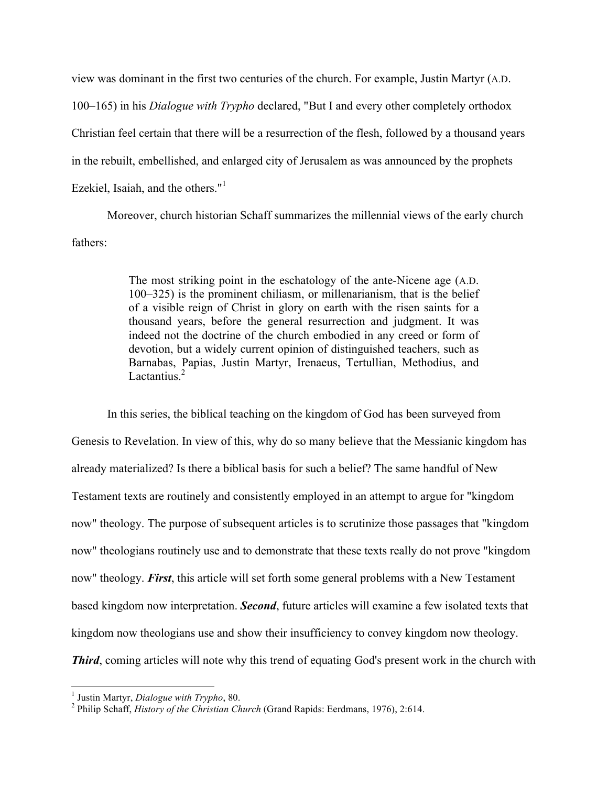view was dominant in the first two centuries of the church. For example, Justin Martyr (A.D. 100–165) in his *Dialogue with Trypho* declared, "But I and every other completely orthodox Christian feel certain that there will be a resurrection of the flesh, followed by a thousand years in the rebuilt, embellished, and enlarged city of Jerusalem as was announced by the prophets Ezekiel, Isaiah, and the others."<sup>1</sup>

Moreover, church historian Schaff summarizes the millennial views of the early church fathers:

> The most striking point in the eschatology of the ante-Nicene age (A.D. 100–325) is the prominent chiliasm, or millenarianism, that is the belief of a visible reign of Christ in glory on earth with the risen saints for a thousand years, before the general resurrection and judgment. It was indeed not the doctrine of the church embodied in any creed or form of devotion, but a widely current opinion of distinguished teachers, such as Barnabas, Papias, Justin Martyr, Irenaeus, Tertullian, Methodius, and Lactantius.<sup>2</sup>

In this series, the biblical teaching on the kingdom of God has been surveyed from Genesis to Revelation. In view of this, why do so many believe that the Messianic kingdom has already materialized? Is there a biblical basis for such a belief? The same handful of New Testament texts are routinely and consistently employed in an attempt to argue for "kingdom now" theology. The purpose of subsequent articles is to scrutinize those passages that "kingdom now" theologians routinely use and to demonstrate that these texts really do not prove "kingdom now" theology. *First*, this article will set forth some general problems with a New Testament based kingdom now interpretation. *Second*, future articles will examine a few isolated texts that kingdom now theologians use and show their insufficiency to convey kingdom now theology. *Third*, coming articles will note why this trend of equating God's present work in the church with

<sup>&</sup>lt;sup>1</sup> Justin Martyr, *Dialogue with Trypho*, 80.<br><sup>2</sup> Philip Schaff, *History of the Christian Church* (Grand Rapids: Eerdmans, 1976), 2:614.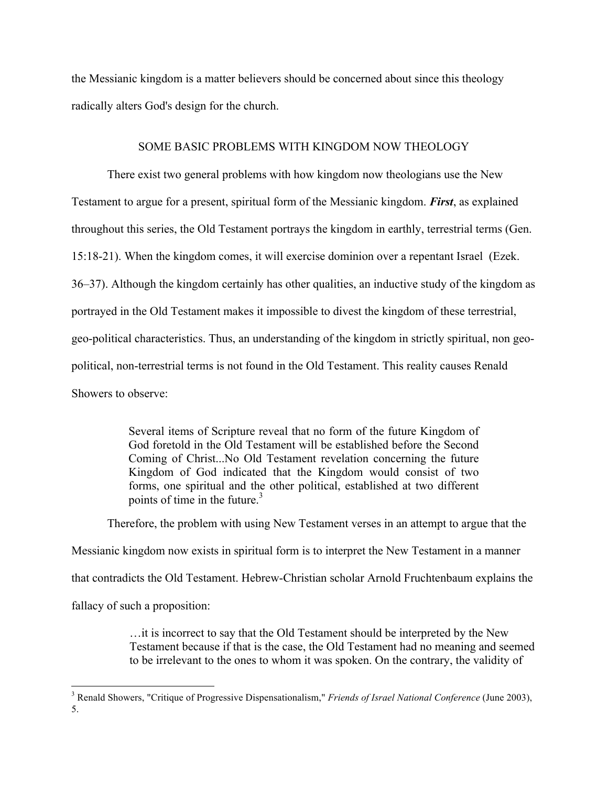the Messianic kingdom is a matter believers should be concerned about since this theology radically alters God's design for the church.

## SOME BASIC PROBLEMS WITH KINGDOM NOW THEOLOGY

There exist two general problems with how kingdom now theologians use the New Testament to argue for a present, spiritual form of the Messianic kingdom. *First*, as explained throughout this series, the Old Testament portrays the kingdom in earthly, terrestrial terms (Gen. 15:18-21). When the kingdom comes, it will exercise dominion over a repentant Israel (Ezek. 36–37). Although the kingdom certainly has other qualities, an inductive study of the kingdom as portrayed in the Old Testament makes it impossible to divest the kingdom of these terrestrial, geo-political characteristics. Thus, an understanding of the kingdom in strictly spiritual, non geopolitical, non-terrestrial terms is not found in the Old Testament. This reality causes Renald Showers to observe:

> Several items of Scripture reveal that no form of the future Kingdom of God foretold in the Old Testament will be established before the Second Coming of Christ...No Old Testament revelation concerning the future Kingdom of God indicated that the Kingdom would consist of two forms, one spiritual and the other political, established at two different points of time in the future. $3$

Therefore, the problem with using New Testament verses in an attempt to argue that the

Messianic kingdom now exists in spiritual form is to interpret the New Testament in a manner that contradicts the Old Testament. Hebrew-Christian scholar Arnold Fruchtenbaum explains the

fallacy of such a proposition:

…it is incorrect to say that the Old Testament should be interpreted by the New Testament because if that is the case, the Old Testament had no meaning and seemed to be irrelevant to the ones to whom it was spoken. On the contrary, the validity of

 <sup>3</sup> Renald Showers, "Critique of Progressive Dispensationalism," *Friends of Israel National Conference* (June 2003), 5.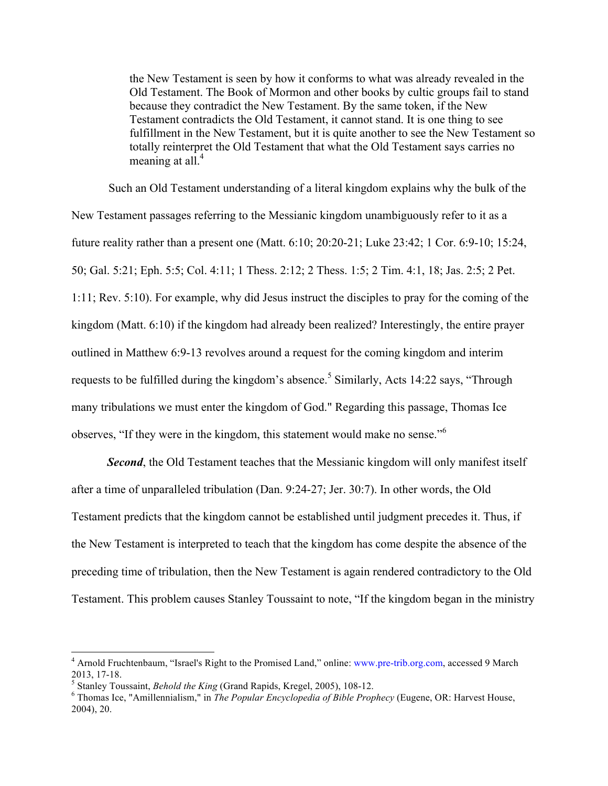the New Testament is seen by how it conforms to what was already revealed in the Old Testament. The Book of Mormon and other books by cultic groups fail to stand because they contradict the New Testament. By the same token, if the New Testament contradicts the Old Testament, it cannot stand. It is one thing to see fulfillment in the New Testament, but it is quite another to see the New Testament so totally reinterpret the Old Testament that what the Old Testament says carries no meaning at all. $4$ 

Such an Old Testament understanding of a literal kingdom explains why the bulk of the New Testament passages referring to the Messianic kingdom unambiguously refer to it as a future reality rather than a present one (Matt. 6:10; 20:20-21; Luke 23:42; 1 Cor. 6:9-10; 15:24, 50; Gal. 5:21; Eph. 5:5; Col. 4:11; 1 Thess. 2:12; 2 Thess. 1:5; 2 Tim. 4:1, 18; Jas. 2:5; 2 Pet. 1:11; Rev. 5:10). For example, why did Jesus instruct the disciples to pray for the coming of the kingdom (Matt. 6:10) if the kingdom had already been realized? Interestingly, the entire prayer outlined in Matthew 6:9-13 revolves around a request for the coming kingdom and interim requests to be fulfilled during the kingdom's absence.<sup>5</sup> Similarly, Acts 14:22 says, "Through many tribulations we must enter the kingdom of God." Regarding this passage, Thomas Ice observes, "If they were in the kingdom, this statement would make no sense."<sup>6</sup>

**Second**, the Old Testament teaches that the Messianic kingdom will only manifest itself after a time of unparalleled tribulation (Dan. 9:24-27; Jer. 30:7). In other words, the Old Testament predicts that the kingdom cannot be established until judgment precedes it. Thus, if the New Testament is interpreted to teach that the kingdom has come despite the absence of the preceding time of tribulation, then the New Testament is again rendered contradictory to the Old Testament. This problem causes Stanley Toussaint to note, "If the kingdom began in the ministry

 <sup>4</sup> Arnold Fruchtenbaum, "Israel's Right to the Promised Land," online: www.pre-trib.org.com, accessed 9 March 2013, 17-18.<br><sup>5</sup> Stanley Toussaint, *Behold the King* (Grand Rapids, Kregel, 2005), 108-12.<br><sup>6</sup> Thomas Ice, "Amillennialism," in *The Popular Encyclopedia of Bible Prophecy* (Eugene, OR: Harvest House,

<sup>2004), 20.</sup>